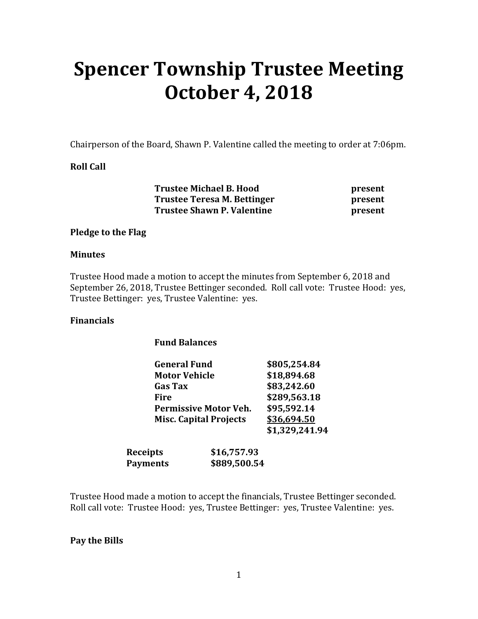# **Spencer Township Trustee Meeting October 4, 2018**

Chairperson of the Board, Shawn P. Valentine called the meeting to order at 7:06pm.

#### **Roll Call**

 **Trustee Michael B. Hood present Trustee Teresa M. Bettinger**  present **Trustee Shawn P. Valentine** *present* 

#### **Pledge to the Flag**

#### **Minutes**

Trustee Hood made a motion to accept the minutes from September 6, 2018 and September 26, 2018, Trustee Bettinger seconded. Roll call vote: Trustee Hood: yes, Trustee Bettinger: yes, Trustee Valentine: yes.

#### **Financials**

| <b>Fund Balances</b> |  |
|----------------------|--|
|                      |  |

|  | <b>General Fund</b>                                           |                                        | \$805,254.84   |  |
|--|---------------------------------------------------------------|----------------------------------------|----------------|--|
|  |                                                               | <b>Motor Vehicle</b><br><b>Gas Tax</b> |                |  |
|  |                                                               |                                        |                |  |
|  | Fire                                                          |                                        |                |  |
|  | <b>Permissive Motor Veh.</b><br><b>Misc. Capital Projects</b> |                                        | \$95,592.14    |  |
|  |                                                               |                                        | \$36,694.50    |  |
|  |                                                               |                                        | \$1,329,241.94 |  |
|  | <b>Receipts</b>                                               | \$16,757.93                            |                |  |
|  | <b>Payments</b>                                               | \$889,500.54                           |                |  |

Trustee Hood made a motion to accept the financials, Trustee Bettinger seconded. Roll call vote: Trustee Hood: yes, Trustee Bettinger: yes, Trustee Valentine: yes.

#### **Pay the Bills**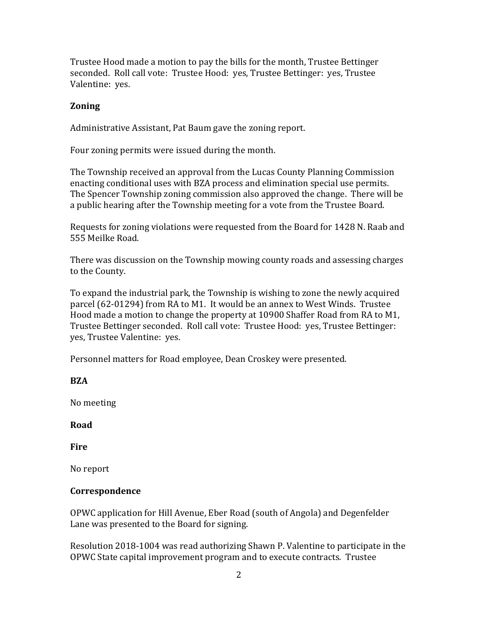Trustee Hood made a motion to pay the bills for the month, Trustee Bettinger seconded. Roll call vote: Trustee Hood: yes, Trustee Bettinger: yes, Trustee Valentine: yes.

#### **Zoning**

Administrative Assistant, Pat Baum gave the zoning report.

Four zoning permits were issued during the month.

The Township received an approval from the Lucas County Planning Commission enacting conditional uses with BZA process and elimination special use permits. The Spencer Township zoning commission also approved the change. There will be a public hearing after the Township meeting for a vote from the Trustee Board.

Requests for zoning violations were requested from the Board for 1428 N. Raab and 555 Meilke Road.

There was discussion on the Township mowing county roads and assessing charges to the County.

To expand the industrial park, the Township is wishing to zone the newly acquired parcel (62-01294) from RA to M1. It would be an annex to West Winds. Trustee Hood made a motion to change the property at 10900 Shaffer Road from RA to M1, Trustee Bettinger seconded. Roll call vote: Trustee Hood: yes, Trustee Bettinger: yes, Trustee Valentine: yes.

Personnel matters for Road employee, Dean Croskey were presented.

## **BZA**

No meeting

**Road** 

**Fire** 

No report

## **Correspondence**

OPWC application for Hill Avenue, Eber Road (south of Angola) and Degenfelder Lane was presented to the Board for signing.

Resolution 2018-1004 was read authorizing Shawn P. Valentine to participate in the OPWC State capital improvement program and to execute contracts. Trustee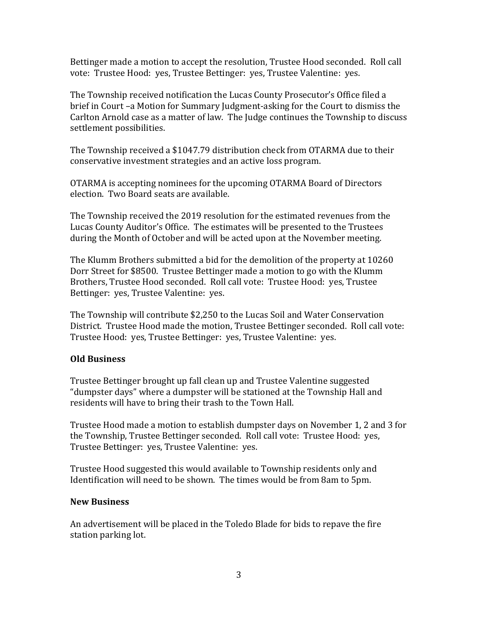Bettinger made a motion to accept the resolution, Trustee Hood seconded. Roll call vote: Trustee Hood: yes, Trustee Bettinger: yes, Trustee Valentine: yes.

The Township received notification the Lucas County Prosecutor's Office filed a brief in Court –a Motion for Summary Judgment-asking for the Court to dismiss the Carlton Arnold case as a matter of law. The Judge continues the Township to discuss settlement possibilities.

The Township received a \$1047.79 distribution check from OTARMA due to their conservative investment strategies and an active loss program.

OTARMA is accepting nominees for the upcoming OTARMA Board of Directors election. Two Board seats are available.

The Township received the 2019 resolution for the estimated revenues from the Lucas County Auditor's Office. The estimates will be presented to the Trustees during the Month of October and will be acted upon at the November meeting.

The Klumm Brothers submitted a bid for the demolition of the property at 10260 Dorr Street for \$8500. Trustee Bettinger made a motion to go with the Klumm Brothers, Trustee Hood seconded. Roll call vote: Trustee Hood: yes, Trustee Bettinger: yes, Trustee Valentine: yes.

The Township will contribute \$2,250 to the Lucas Soil and Water Conservation District. Trustee Hood made the motion, Trustee Bettinger seconded. Roll call vote: Trustee Hood: yes, Trustee Bettinger: yes, Trustee Valentine: yes.

## **Old Business**

Trustee Bettinger brought up fall clean up and Trustee Valentine suggested "dumpster days" where a dumpster will be stationed at the Township Hall and residents will have to bring their trash to the Town Hall.

Trustee Hood made a motion to establish dumpster days on November 1, 2 and 3 for the Township, Trustee Bettinger seconded. Roll call vote: Trustee Hood: yes, Trustee Bettinger: yes, Trustee Valentine: yes.

Trustee Hood suggested this would available to Township residents only and Identification will need to be shown. The times would be from 8am to 5pm.

#### **New Business**

An advertisement will be placed in the Toledo Blade for bids to repave the fire station parking lot.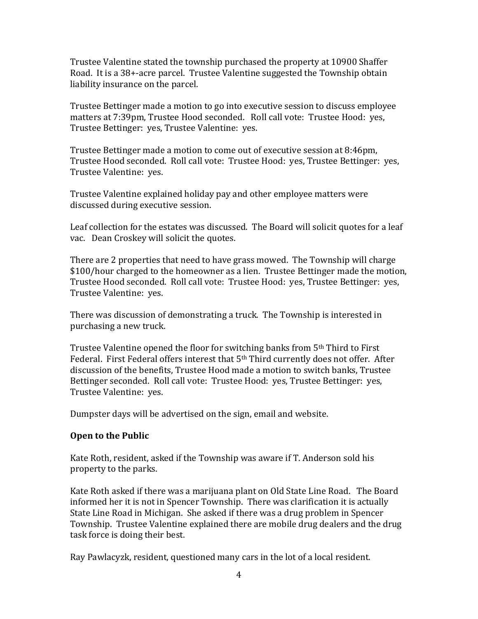Trustee Valentine stated the township purchased the property at 10900 Shaffer Road. It is a 38+-acre parcel. Trustee Valentine suggested the Township obtain liability insurance on the parcel.

Trustee Bettinger made a motion to go into executive session to discuss employee matters at 7:39pm, Trustee Hood seconded. Roll call vote: Trustee Hood: yes, Trustee Bettinger: yes, Trustee Valentine: yes.

Trustee Bettinger made a motion to come out of executive session at 8:46pm, Trustee Hood seconded. Roll call vote: Trustee Hood: yes, Trustee Bettinger: yes, Trustee Valentine: yes.

Trustee Valentine explained holiday pay and other employee matters were discussed during executive session.

Leaf collection for the estates was discussed. The Board will solicit quotes for a leaf vac. Dean Croskey will solicit the quotes.

There are 2 properties that need to have grass mowed. The Township will charge \$100/hour charged to the homeowner as a lien. Trustee Bettinger made the motion, Trustee Hood seconded. Roll call vote: Trustee Hood: yes, Trustee Bettinger: yes, Trustee Valentine: yes.

There was discussion of demonstrating a truck. The Township is interested in purchasing a new truck.

Trustee Valentine opened the floor for switching banks from 5th Third to First Federal. First Federal offers interest that 5th Third currently does not offer. After discussion of the benefits, Trustee Hood made a motion to switch banks, Trustee Bettinger seconded. Roll call vote: Trustee Hood: yes, Trustee Bettinger: yes, Trustee Valentine: yes.

Dumpster days will be advertised on the sign, email and website.

## **Open to the Public**

Kate Roth, resident, asked if the Township was aware if T. Anderson sold his property to the parks.

Kate Roth asked if there was a marijuana plant on Old State Line Road. The Board informed her it is not in Spencer Township. There was clarification it is actually State Line Road in Michigan. She asked if there was a drug problem in Spencer Township. Trustee Valentine explained there are mobile drug dealers and the drug task force is doing their best.

Ray Pawlacyzk, resident, questioned many cars in the lot of a local resident.